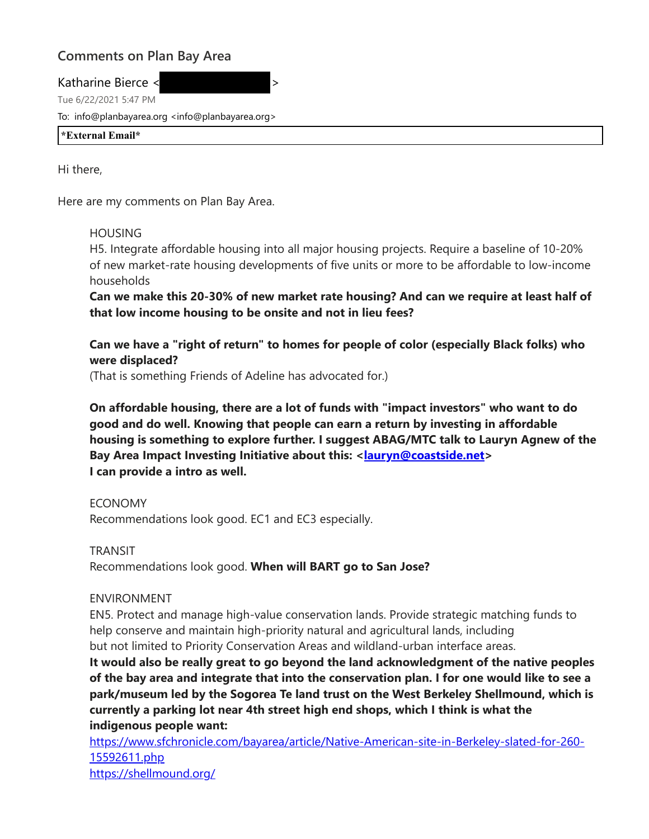## **Comments on Plan Bay Area**

Katharine Bierce <  $\sim$ 

Tue 6/22/2021 5:47 PM

To: info@planbayarea.org <info@planbayarea.org>

**\*External Email\***

Hi there,

Here are my comments on Plan Bay Area.

## HOUSING

H5. Integrate affordable housing into all major housing projects. Require a baseline of 10-20% of new market-rate housing developments of five units or more to be affordable to low-income households

**Can we make this 20-30% of new market rate housing? And can we require at least half of that low income housing to be onsite and not in lieu fees?** 

**Can we have a "right of return" to homes for people of color (especially Black folks) who were displaced?**

(That is something Friends of Adeline has advocated for.)

**On affordable housing, there are a lot of funds with "impact investors" who want to do good and do well. Knowing that people can earn a return by investing in affordable housing is something to explore further. I suggest ABAG/MTC talk to Lauryn Agnew of the Bay Area Impact Investing Initiative about this: <lauryn@coastside.net> I can provide a intro as well.** 

ECONOMY

Recommendations look good. EC1 and EC3 especially.

TRANSIT

Recommendations look good. **When will BART go to San Jose?** 

## ENVIRONMENT

EN5. Protect and manage high-value conservation lands. Provide strategic matching funds to help conserve and maintain high-priority natural and agricultural lands, including but not limited to Priority Conservation Areas and wildland-urban interface areas.

**It would also be really great to go beyond the land acknowledgment of the native peoples of the bay area and integrate that into the conservation plan. I for one would like to see a park/museum led by the Sogorea Te land trust on the West Berkeley Shellmound, which is currently a parking lot near 4th street high end shops, which I think is what the indigenous people want:**

https://www.sfchronicle.com/bayarea/article/Native-American-site-in-Berkeley-slated-for-260- 15592611.php https://shellmound.org/